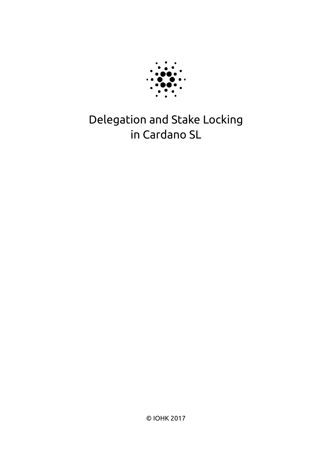

# Delegation and Stake Locking in Cardano SL

© IOHK 2017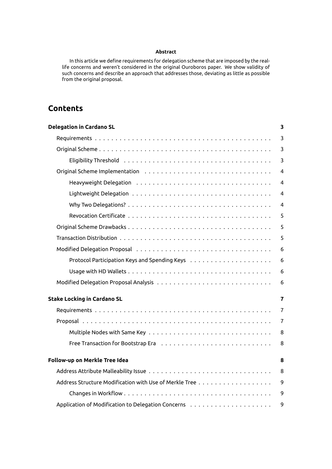#### **Abstract**

In this article we define requirements for delegation scheme that are imposed by the reallife concerns and weren't considered in the original Ouroboros paper. We show validity of such concerns and describe an approach that addresses those, deviating as little as possible from the original proposal.

# **Contents**

| <b>Delegation in Cardano SL</b>    | 3              |
|------------------------------------|----------------|
|                                    | 3              |
|                                    | 3              |
|                                    | 3              |
|                                    | 4              |
|                                    | 4              |
|                                    | 4              |
|                                    | 4              |
|                                    | 5              |
|                                    | 5              |
|                                    | 5              |
|                                    | 6              |
|                                    | 6              |
|                                    | 6              |
|                                    | 6              |
| <b>Stake Locking in Cardano SL</b> | 7              |
|                                    | $\overline{7}$ |
|                                    | $\overline{7}$ |
|                                    | 8              |
|                                    | 8              |
| Follow-up on Merkle Tree Idea      | 8              |
|                                    | 8              |
|                                    | 9              |
|                                    | 9              |
|                                    | 9              |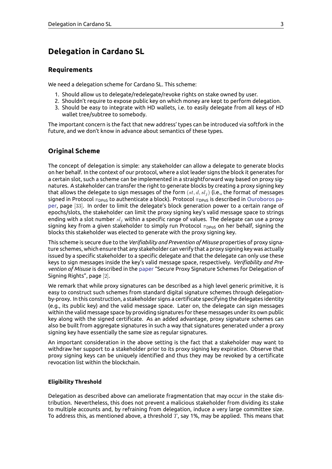# **Delegation in Cardano SL**

# <span id="page-2-0"></span>**Requirements**

We need a delegation scheme for Cardano SL. This scheme:

- <span id="page-2-1"></span>1. Should allow us to delegate/redelegate/revoke rights on stake owned by user.
- 2. Shouldn't require to expose public key on which money are kept to perform delegation.
- 3. Should be easy to integrate with HD wallets, i.e. to easily delegate from all keys of HD wallet tree/subtree to somebody.

The important concern is the fact that new address' types can be introduced via softfork in the future, and we don't know in advance about semantics of these types.

# **Original Scheme**

<span id="page-2-2"></span>The concept of delegation is simple: any stakeholder can allow a delegate to generate blocks on her behalf. In the context of our protocol, where a slot leader signs the block it generates for a certain slot, such a scheme can be implemented in a straightforward way based on proxy signatures. A stakeholder can transfer the right to generate blocks by creating a proxy signing key that allows the delegate to sign messages of the form (*st, d, sl<sup>j</sup>* ) (i.e., the format of messages signed in Protocol  $\pi_{\text{Dpos}}$  to authenticate a block). Protocol  $\pi_{\text{Dpos}}$  is described in Ouroboros paper, page [33]. In order to limit the delegate's block generation power to a certain range of epochs/slots, the stakeholder can limit the proxy signing key's valid message space to strings ending with a slot number *sl<sup>j</sup>* within a specific range of values. The delegate can use a proxy signing key from a given stakeholder to simply run Protocol  $\pi_{\text{DPOS}}$  on her beh[alf, signing the](https://eprint.iacr.org/2016/889.pdf) [bloc](https://eprint.iacr.org/2016/889.pdf)ks this stakeholder was elected to generate with the proxy signing key.

This scheme is secure due to the *Verifiability and Prevention of Misuse* properties of proxy signature schemes, which ensure that any stakeholder can verify that a proxy signing key was actually issued by a specific stakeholder to a specific delegate and that the delegate can only use these keys to sign messages inside the key's valid message space, respectively. *Verifiability and Prevention of Misuse* is described in the paper "Secure Proxy Signature Schemes for Delegation of Signing Rights", page [2].

We remark that while proxy signatures can be described as a high level generic primitive, it is easy to construct such schemes from standard digital signature schemes through delegationby-proxy. In this construction, a stak[eholde](https://eprint.iacr.org/2003/096.pdf)r signs a certificate specifying the delegates identity (e.g., its public key) and the valid message space. Later on, the delegate can sign messages within the valid message space by providing signatures for these messages under its own public key along with the signed certificate. As an added advantage, proxy signature schemes can also be built from aggregate signatures in such a way that signatures generated under a proxy signing key have essentially the same size as regular signatures.

An important consideration in the above setting is the fact that a stakeholder may want to withdraw her support to a stakeholder prior to its proxy signing key expiration. Observe that proxy signing keys can be uniquely identified and thus they may be revoked by a certificate revocation list within the blockchain.

#### **Eligibility Threshold**

<span id="page-2-3"></span>Delegation as described above can ameliorate fragmentation that may occur in the stake distribution. Nevertheless, this does not prevent a malicious stakeholder from dividing its stake to multiple accounts and, by refraining from delegation, induce a very large committee size. To address this, as mentioned above, a threshold *T*, say 1%, may be applied. This means that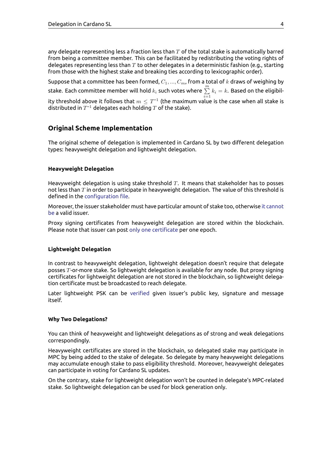any delegate representing less a fraction less than *T* of the total stake is automatically barred from being a committee member. This can be facilitated by redistributing the voting rights of delegates representing less than *T* to other delegates in a deterministic fashion (e.g., starting from those with the highest stake and breaking ties according to lexicographic order).

Suppose that a committee has been formed, *C*1*, ..., Cm*, from a total of *k* draws of weighing by stake. Each committee member will hold  $k_i$  such votes where  $\sum\limits_{i=1}^m k_i = k.$  Based on the eligibility threshold above it follows that  $m \leq T^{-1}$  (the maximum value is the case when all stake is distributed in  $T^{-1}$  delegates each holding  $T$  of the stake).

# **Original Scheme Implementation**

<span id="page-3-0"></span>The original scheme of delegation is implemented in Cardano SL by two different delegation types: heavyweight delegation and lightweight delegation.

#### **Heavyweight Delegation**

Heavyweight delegation is using stake threshold *T*. It means that stakeholder has to posses not less than *T* in order to participate in heavyweight delegation. The value of this threshold is defined in the configuration file.

<span id="page-3-1"></span>Moreover, the issuer stakeholder must have particular amount of stake too, otherwise it cannot be a valid issuer.

Proxy signing [certificates from](https://github.com/input-output-hk/cardano-sl/blob/d01d392d49db8a25e17749173ec9bce057911191/core/constants.yaml#L22) heavyweight delegation are stored within the blockchain. Please note that issuer can post only one certificate per one epoch.

#### **Lightweight Delegation**

<span id="page-3-2"></span>In contrast to heavyweight delegation, lightweight delegation doesn't require that delegate posses *T*-or-more stake. So lightweight delegation is available for any node. But proxy signing certificates for lightweight delegation are not stored in the blockchain, so lightweight delegation certificate must be broadcasted to reach delegate.

Later lightweight PSK can be verified given issuer's public key, signature and message itself.

#### **Why Two Delegations?**

You can think of heavyweight and lightweight delegations as of strong and weak delegations correspondingly.

<span id="page-3-3"></span>Heavyweight certificates are stored in the blockchain, so delegated stake may participate in MPC by being added to the stake of delegate. So delegate by many heavyweight delegations may accumulate enough stake to pass eligibility threshold. Moreover, heavyweight delegates can participate in voting for Cardano SL updates.

On the contrary, stake for lightweight delegation won't be counted in delegate's MPC-related stake. So lightweight delegation can be used for block generation only.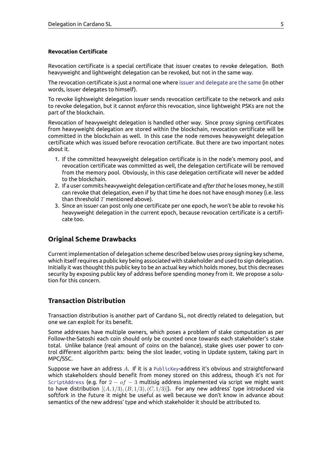#### **Revocation Certificate**

Revocation certificate is a special certificate that issuer creates to revoke delegation. Both heavyweight and lightweight delegation can be revoked, but not in the same way.

<span id="page-4-0"></span>The revocation certificate is just a normal one where issuer and delegate are the same (in other words, issuer delegates to himself).

To revoke lightweight delegation issuer sends revocation certificate to the network and *asks* to revoke delegation, but it cannot *enforce* this revo[cation, since lightweight PSKs are](https://github.com/input-output-hk/cardano-sl/blob/db306d7db0d05610005c5bee98c7be3918fb7947/src/Pos/Delegation/Helpers.hs#L35) not the part of the blockchain.

Revocation of heavyweight delegation is handled other way. Since proxy signing certificates from heavyweight delegation are stored within the blockchain, revocation certificate will be committed in the blockchain as well. In this case the node removes heavyweight delegation certificate which was issued before revocation certificate. But there are two important notes about it.

- 1. If the committed heavyweight delegation certificate is in the node's memory pool, and revocation certificate was committed as well, the delegation certificate will be removed from the memory pool. Obviously, in this case delegation certificate will never be added to the blockchain.
- 2. If a user commits heavyweight delegation certificate and *afterthat* he loses money, he still can revoke that delegation, even if by that time he does not have enough money (i.e. less than threshold *T* mentioned above).
- 3. Since an issuer can post only one certificate per one epoch, he won't be able to revoke his heavyweight delegation in the current epoch, because revocation certificate is a certificate too.

# **Original Scheme Drawbacks**

<span id="page-4-1"></span>Current implementation of delegation scheme described below uses proxy signing key scheme, which itself requires a public key being associated with stakeholder and used to sign delegation. Initially it was thought this public key to be an actual key which holds money, but this decreases security by exposing public key of address before spending money from it. We propose a solution for this concern.

### **Transaction Distribution**

Transaction distribution is another part of Cardano SL, not directly related to delegation, but one we can exploit for its benefit.

<span id="page-4-2"></span>Some addresses have multiple owners, which poses a problem of stake computation as per Follow-the-Satoshi each coin should only be counted once towards each stakeholder's stake total. Unlike balance (real amount of coins on the balance), stake gives user power to control different algorithm parts: being the slot leader, voting in Update system, taking part in MPC/SSC.

Suppose we have an address *A*. If it is a PublicKey-address it's obvious and straightforward which stakeholders should benefit from money stored on this address, though it's not for ScriptAddress (e.g. for 2 *− of −* 3 multisig address implemented via script we might want to have distribution  $[(A, 1/3), (B, 1/3), (C, 1/3)]$ . For any new address' type introduced via softfork in the future it might be useful [as well b](https://cardanodocs.com/cardano/addresses/)ecause we don't know in advance about semantics of the new address' type and which stakeholder it should be attributed to.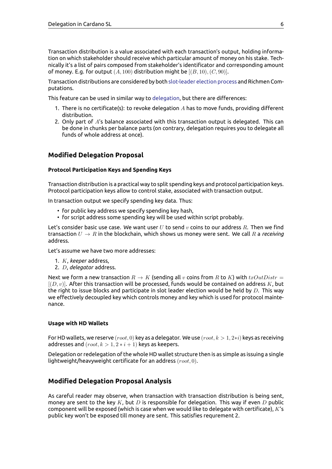Transaction distribution is a value associated with each transaction's output, holding information on which stakeholder should receive which particular amount of money on his stake. Technically it's a list of pairs composed from stakeholder's identificator and corresponding amount of money. E.g. for output  $(A, 100)$  distribution might be  $[(B, 10), (C, 90)]$ .

Transaction distributions are considered by both slot-leader election process and Richmen Computations.

This feature can be used in similar way to delegation, but there are differences:

- 1. There is no certificate(s): to revoke delegation *A* [has to move funds, p](https://cardanodocs.com/technical/leader-selection/)roviding different distribution.
- 2. Only part of *A*'s balance associated with this transaction output is delegated. This can be done in chunks per balance parts [\(on contrar](https://cardanodocs.com/technical/delegation/)y, delegation requires you to delegate all funds of whole address at once).

# **Modified Delegation Proposal**

#### **Protocol Participation Keys and Spending Keys**

<span id="page-5-0"></span>Transaction distribution is a practical way to split spending keys and protocol participation keys. Protocol participation keys allow to control stake, associated with transaction output.

<span id="page-5-1"></span>In transaction output we specify spending key data. Thus:

- for public key address we specify spending key hash,
- for script address some spending key will be used within script probably.

Let's consider basic use case. We want user *U* to send *v* coins to our address *R*. Then we find transaction  $U \to R$  in the blockchain, which shows us money were sent. We call  $R$  a *receiving* address.

Let's assume we have two more addresses:

- 1. *K*, *keeper* address,
- 2. *D*, *delegator* address.

Next we form a new transaction  $R \to K$  (sending all  $v$  coins from  $R$  to  $K$ ) with  $txOutDistr =$ [(*D, v*)]. After this transaction will be processed, funds would be contained on address *K*, but the right to issue blocks and participate in slot leader election would be held by *D*. This way we effectively decoupled key which controls money and key which is used for protocol maintenance.

#### **Usage with HD Wallets**

For HD wallets, we reserve (*root,* 0) key as a delegator. We use (*root, k >* 1*,* 2*∗i*) keys as receiving addresses and  $(root, k > 1, 2 * i + 1)$  keys as keepers.

<span id="page-5-2"></span>Delegation or redelegation of the whole HD wallet structure then is as simple as issuing a single lightweight/heavyweight certificate for an address (*root,* 0).

### **Modified Delegation Proposal Analysis**

<span id="page-5-3"></span>As careful reader may observe, when transaction with transaction distribution is being sent, money are sent to the key *K*, but *D* is responsible for delegation. This way if even *D* public component will be exposed (which is case when we would like to delegate with certificate), *K*'s public key won't be exposed till money are sent. This satisfies requrement 2.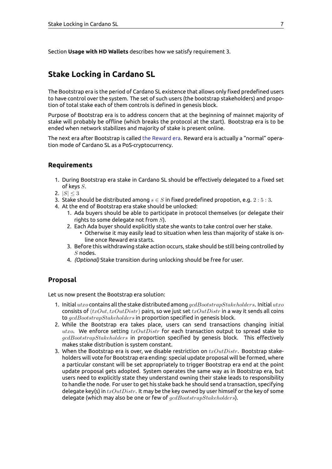# **Stake Locking in Cardano SL**

<span id="page-6-0"></span>The Bootstrap era is the period of Cardano SL existence that allows only fixed predefined users to have control over the system. The set of such users (the bootstrap stakeholders) and propotion of total stake each of them controls is defined in genesis block.

Purpose of Bootstrap era is to address concern that at the beginning of mainnet majority of stake will probably be offline (which breaks the protocol at the start). Bootstrap era is to be ended when network stabilizes and majority of stake is present online.

The next era after Bootstrap is called the Reward era. Reward era is actually a "normal" operation mode of Cardano SL as a PoS-cryptocurrency.

# **Requirements**

- 1. During Bootstrap era stake in Cardano SL should be effectively delegated to a fixed set of keys *S*.
- <span id="page-6-1"></span>2.  $|S| \leq 3$
- 3. Stake should be distributed among  $s \in S$  in fixed predefined propotion, e.g.  $2:5:3$ .
- 4. At the end of Bootstrap era stake should be unlocked:
	- 1. Ada buyers should be able to participate in protocol themselves (or delegate their rights to some delegate not from *S*).
	- 2. Each Ada buyer should explicitly state she wants to take control over her stake.
		- Otherwise it may easily lead to situation when less than majority of stake is online once Reward era starts.
	- 3. Before this withdrawing stake action occurs, stake should be still being controlled by *S* nodes.
	- 4. *(Optional)* Stake transition during unlocking should be free for user.

### **Proposal**

Let us now present the Bootstrap era solution:

- <span id="page-6-2"></span>1. Initial *utxo* contains all the stake distributed among *gcdBootstrapStakeholders*. Initial *utxo* consists of (*txOut, txOutDistr*) pairs, so we just set *txOutDistr* in a way it sends all coins to *gcdBootstrapStakeholders* in proportion specified in genesis block.
- 2. While the Bootstrap era takes place, users can send transactions changing initial *utxo*. We enforce setting *txOutDistr* for each transaction output to spread stake to *gcdBootstrapStakeholders* in proportion specified by genesis block. This effectively makes stake distribution is system constant.
- 3. When the Bootstrap era is over, we disable restriction on *txOutDistr*. Bootstrap stakeholders will vote for Bootstrap era ending: special update proposal will be formed, where a particular constant will be set appropriately to trigger Bootstrap era end at the point update proposal gets adopted. System operates the same way as in Bootstrap era, but users need to explicitly state they understand owning their stake leads to responsibility to handle the node. For user to get his stake back he should send a transaction, specifying delegate key(s) in *txOutDistr*. It may be the key owned by user himself or the key of some delegate (which may also be one or few of *gcdBootstrapStakeholders*).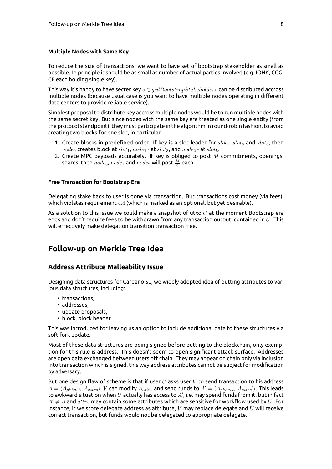#### <span id="page-7-0"></span>**Multiple Nodes with Same Key**

To reduce the size of transactions, we want to have set of bootstrap stakeholder as small as possible. In principle it should be as small as number of actual parties involved (e.g. IOHK, CGG, CF each holding single key).

This way it's handy to have secret key *s ∈ gcdBootstrapStakeholders* can be distributed accross multiple nodes (because usual case is you want to have multiple nodes operating in different data centers to provide reliable service).

Simplest proposal to distribute key accross multiple nodes would be to run multiple nodes with the same secret key. But since nodes with the same key are treated as one single entity (from the protocol standpoint), they must participate in the algorithm in round-robin fashion, to avoid creating two blocks for one slot, in particular:

- 1. Create blocks in predefined order. If key is a slot leader for  $slot_1$ ,  $slot_3$  and  $slot_5$ , then  $node_0$  creates block at  $slot_1$ ,  $node_1$  - at  $slot_3$ , and  $node_2$  - at  $slot_5$ .
- 2. Create MPC payloads accurately. If key is obliged to post *M* commitments, openings, shares, then  $node_0$ ,  $node_1$  and  $node_2$  will post  $\frac{M}{3}$  each.

#### <span id="page-7-1"></span>**Free Transaction for Bootstrap Era**

Delegating stake back to user is done via transaction. But transactions cost money (via fees), which violates requirement 4*.*4 (which is marked as an optional, but yet desirable).

As a solution to this issue we could make a snapshot of utxo *U* at the moment Bootstrap era ends and don't require fees to be withdrawn from any transaction output, contained in *U*. This will effectively make delegation transition transaction free.

# <span id="page-7-2"></span>**Follow-up on Merkle Tree Idea**

#### <span id="page-7-3"></span>**Address Attribute Malleability Issue**

Designing data structures for Cardano SL, we widely adopted idea of putting attributes to various data structures, including:

- transactions,
- addresses,
- update proposals,
- block, block header.

This was introduced for leaving us an option to include additional data to these structures via soft fork update.

Most of these data structures are being signed before putting to the blockchain, only exemption for this rule is address. This doesn't seem to open significant attack surface. Addresses are open data exchanged between users off chain. They may appear on chain only via inclusion into transaction which is signed, this way address attributes cannot be subject for modification by adversary.

But one design flaw of scheme is that if user *U* asks user *V* to send transaction to his address  $A = \langle A_{\text{pkhash}}, A_{\text{attrs}} \rangle$ ,  $V$  can modify  $A_{\text{attrs}}$  and send funds to  $A' = \langle A_{\text{pkhash}}, A_{\text{attrs}}' \rangle$ . This leads to awkward situation when *U* actually has access to *A*', i.e. may spend funds from it, but in fact  $A' \neq A$  and  $attrs$  may contain some attributes which are sensitive for workflow used by  $U$ . For instance, if we store delegate address as attribute, *V* may replace delegate and *U* will receive correct transaction, but funds would not be delegated to appropriate delegate.